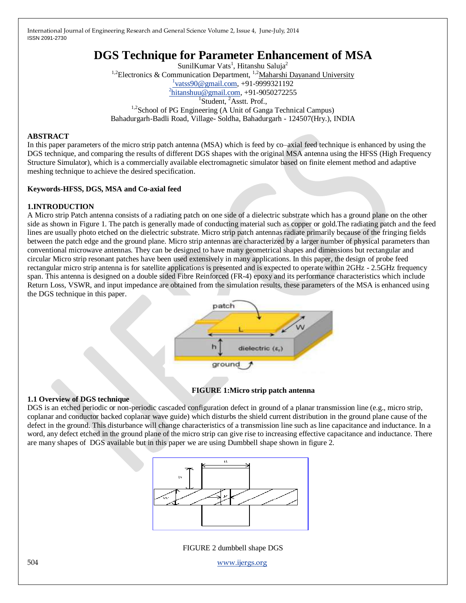# **DGS Technique for Parameter Enhancement of MSA**

SunilKumar Vats<sup>1</sup>, Hitanshu Saluja<sup>2</sup> <sup>1,2</sup>Electronics & Communication Department, <sup>1,2</sup>[Maharshi Dayanand](http://www.mdurohtak.ac.in/) University  $\frac{1}{1}$ vatss $90@$ gmail.com, +91-9999321192 <sup>2</sup>[hitanshuu@gmail.com,](mailto:2hitanshuu@gmail.com) +91-9050272255  $1$ Student,  $2$ Asstt. Prof., <sup>1,2</sup>School of PG Engineering (A Unit of Ganga Technical Campus) Bahadurgarh-Badli Road, Village- Soldha, Bahadurgarh - 124507(Hry.), INDIA

## **ABSTRACT**

In this paper parameters of the micro strip patch antenna (MSA) which is feed by co–axial feed technique is enhanced by using the DGS technique, and comparing the results of different DGS shapes with the original MSA antenna using the HFSS (High Frequency Structure Simulator), which is a commercially available electromagnetic simulator based on finite element method and adaptive meshing technique to achieve the desired specification.

## **Keywords-HFSS, DGS, MSA and Co-axial feed**

## **1.INTRODUCTION**

A Micro strip Patch antenna consists of a radiating patch on one side of a dielectric substrate which has a ground plane on the other side as shown in Figure 1. The patch is generally made of conducting material such as copper or gold.The radiating patch and the feed lines are usually photo etched on the dielectric substrate. Micro strip patch antennas radiate primarily because of the fringing fields between the patch edge and the ground plane. Micro strip antennas are characterized by a larger number of physical parameters than conventional microwave antennas. They can be designed to have many geometrical shapes and dimensions but rectangular and circular Micro strip resonant patches have been used extensively in many applications. In this paper, the design of probe feed rectangular micro strip antenna is for satellite applications is presented and is expected to operate within 2GHz - 2.5GHz frequency span. This antenna is designed on a double sided Fibre Reinforced (FR-4) epoxy and its performance characteristics which include Return Loss, VSWR, and input impedance are obtained from the simulation results, these parameters of the MSA is enhanced using the DGS technique in this paper.



# **FIGURE 1:Micro strip patch antenna**

# **1.1 Overview of DGS technique**

DGS is an etched periodic or non-periodic cascaded configuration defect in ground of a planar transmission line (e.g., micro strip, coplanar and conductor backed coplanar wave guide) which disturbs the shield current distribution in the ground plane cause of the defect in the ground. This disturbance will change characteristics of a transmission line such as line capacitance and inductance. In a word, any defect etched in the ground plane of the micro strip can give rise to increasing effective capacitance and inductance. There are many shapes of DGS available but in this paper we are using Dumbbell shape shown in figure 2.



FIGURE 2 dumbbell shape DGS

504 [www.ijergs.org](http://www.ijergs.org/)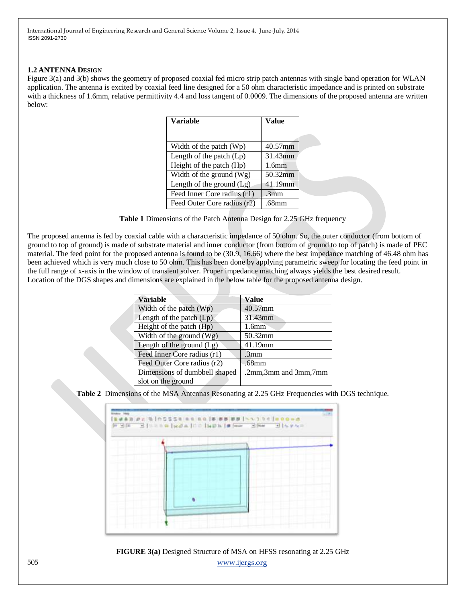#### **1.2 ANTENNA DESIGN**

Figure 3(a) and 3(b) shows the geometry of proposed coaxial fed micro strip patch antennas with single band operation for WLAN application. The antenna is excited by coaxial feed line designed for a 50 ohm characteristic impedance and is printed on substrate with a thickness of 1.6mm, relative permittivity 4.4 and loss tangent of 0.0009. The dimensions of the proposed antenna are written below:

| <b>Variable</b>             | <b>Value</b>      |
|-----------------------------|-------------------|
|                             |                   |
| Width of the patch $(Wp)$   | 40.57mm           |
| Length of the patch (Lp)    | 31.43mm           |
| Height of the patch (Hp)    | 1.6mm             |
| Width of the ground $(Wg)$  | 50.32mm           |
| Length of the ground $(Lg)$ | 41.19mm           |
| Feed Inner Core radius (r1) | .3mm              |
| Feed Outer Core radius (r2) | .68 <sub>mm</sub> |

**Table 1** Dimensions of the Patch Antenna Design for 2.25 GHz frequency

The proposed antenna is fed by coaxial cable with a characteristic impedance of 50 ohm. So, the outer conductor (from bottom of ground to top of ground) is made of substrate material and inner conductor (from bottom of ground to top of patch) is made of PEC material. The feed point for the proposed antenna is found to be (30.9, 16.66) where the best impedance matching of 46.48 ohm has been achieved which is very much close to 50 ohm. This has been done by applying parametric sweep for locating the feed point in the full range of x-axis in the window of transient solver. Proper impedance matching always yields the best desired result. Location of the DGS shapes and dimensions are explained in the below table for the proposed antenna design.

| <b>Variable</b>               | <b>Value</b>         |
|-------------------------------|----------------------|
| Width of the patch $(Wp)$     | 40.57mm              |
| Length of the patch $(Lp)$    | 31.43mm              |
| Height of the patch (Hp)      | 1.6mm                |
| Width of the ground $(Wg)$    | 50.32mm              |
| Length of the ground $(Lg)$   | 41.19mm              |
| Feed Inner Core radius (r1)   | .3mm                 |
| Feed Outer Core radius (r2)   | .68mm                |
| Dimensions of dumbbell shaped | .2mm,3mm and 3mm,7mm |
| slot on the ground            |                      |

**Table 2** Dimensions of the MSA Antennas Resonating at 2.25 GHz Frequencies with DGS technique.



505 [www.ijergs.org](http://www.ijergs.org/) **FIGURE 3(a)** Designed Structure of MSA on HFSS resonating at 2.25 GHz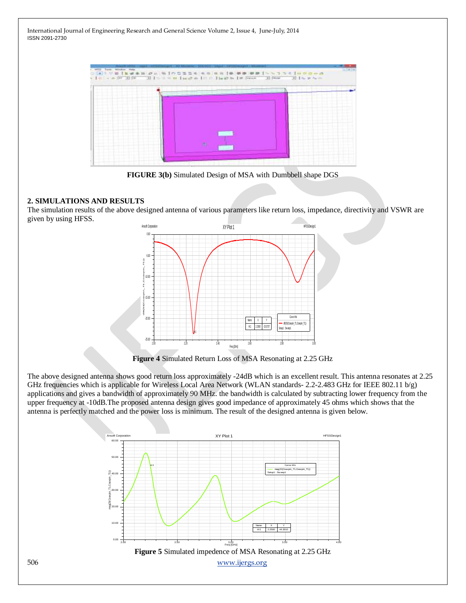|            |  |    | .                             |
|------------|--|----|-------------------------------|
|            |  |    |                               |
|            |  |    | .<br>٠<br>-----               |
| .<br>てることか |  |    | na sa                         |
| ---        |  |    | ----<br><b>CALL OF</b><br>--- |
|            |  |    |                               |
|            |  |    |                               |
|            |  | m. | .<br><b>CAMBO</b>             |

**FIGURE 3(b)** Simulated Design of MSA with Dumbbell shape DGS

# **2. SIMULATIONS AND RESULTS**

The simulation results of the above designed antenna of various parameters like return loss, impedance, directivity and VSWR are given by using HFSS.



**Figure 4** Simulated Return Loss of MSA Resonating at 2.25 GHz

The above designed antenna shows good return loss approximately -24dB which is an excellent result. This antenna resonates at 2.25 GHz frequencies which is applicable for Wireless Local Area Network (WLAN standards- 2.2-2.483 GHz for IEEE 802.11 b/g) applications and gives a bandwidth of approximately 90 MHz. the bandwidth is calculated by subtracting lower frequency from the upper frequency at -10dB.The proposed antenna design gives good impedance of approximately 45 ohms which shows that the antenna is perfectly matched and the power loss is minimum. The result of the designed antenna is given below.

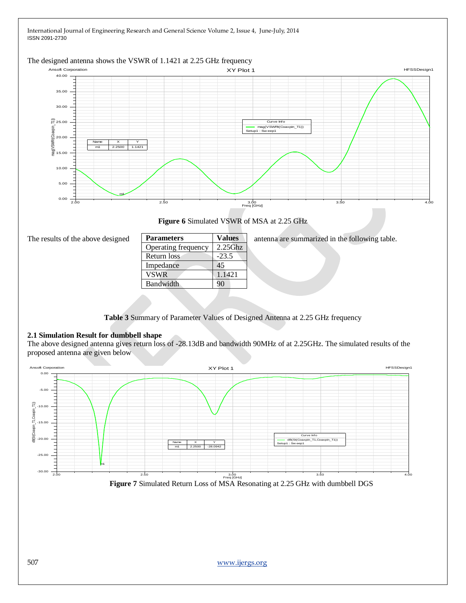



**Figure 6** Simulated VSWR of MSA at 2.25 GHz

| The results of the above designed |  |  |  |
|-----------------------------------|--|--|--|
|                                   |  |  |  |

| <b>Parameters</b>   | <b>Values</b> |
|---------------------|---------------|
| Operating frequency | $2.25$ Ghz    |
| Return loss         | $-23.5$       |
| Impedance           | 45            |
| <b>VSWR</b>         | 1.1421        |
| Bandwidth           | 90            |
|                     |               |

**Parameters Values** antenna are summarized in the following table.

**Table 3** Summary of Parameter Values of Designed Antenna at 2.25 GHz frequency

# **2.1 Simulation Result for dumbbell shape**

The above designed antenna gives return loss of -28.13dB and bandwidth 90MHz of at 2.25GHz. The simulated results of the proposed antenna are given below



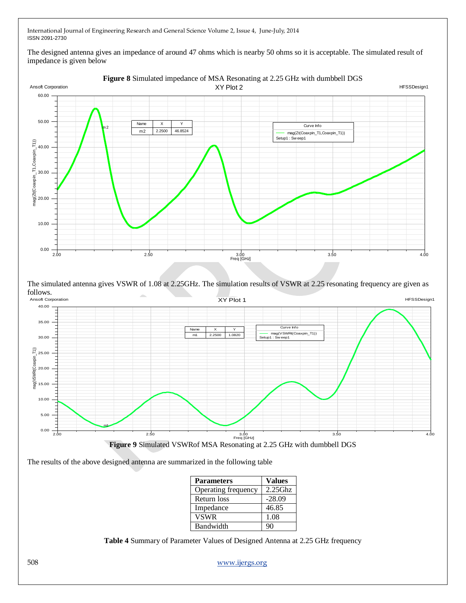The designed antenna gives an impedance of around 47 ohms which is nearby 50 ohms so it is acceptable. The simulated result of impedance is given below



The simulated antenna gives VSWR of 1.08 at 2.25GHz. The simulation results of VSWR at 2.25 resonating frequency are given as



The results of the above designed antenna are summarized in the following table

| <b>Parameters</b>   | <b>Values</b> |
|---------------------|---------------|
| Operating frequency | $2.25$ Ghz    |
| Return loss         | $-28.09$      |
| Impedance           | 46.85         |
| <b>VSWR</b>         | 1.08          |
| Bandwidth           | ۹Λ            |

**Table 4** Summary of Parameter Values of Designed Antenna at 2.25 GHz frequency

508 [www.ijergs.org](http://www.ijergs.org/)